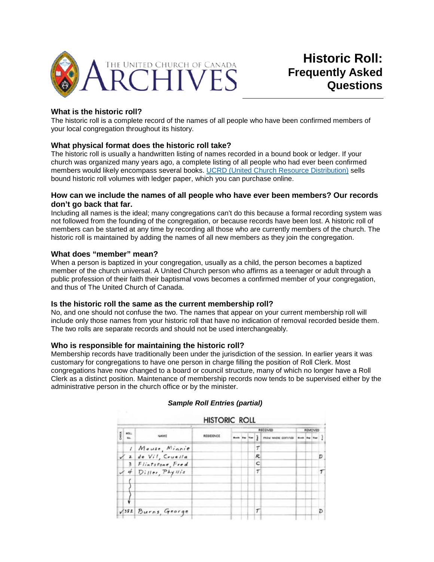

# **Historic Roll: Frequently Asked Questions**

## **What is the historic roll?**

The historic roll is a complete record of the names of all people who have been confirmed members of your local congregation throughout its history.

#### **What physical format does the historic roll take?**

The historic roll is usually a handwritten listing of names recorded in a bound book or ledger. If your church was organized many years ago, a complete listing of all people who had ever been confirmed members would likely encompass several books. [UCRD \(United Church Resource Distribution\)](http://www.ucrdstore.ca/) sells bound historic roll volumes with ledger paper, which you can purchase online.

#### **How can we include the names of all people who have ever been members? Our records don't go back that far.**

Including all names is the ideal; many congregations can't do this because a formal recording system was not followed from the founding of the congregation, or because records have been lost. A historic roll of members can be started at any time by recording all those who are currently members of the church. The historic roll is maintained by adding the names of all new members as they join the congregation.

#### **What does "member" mean?**

When a person is baptized in your congregation, usually as a child, the person becomes a baptized member of the church universal. A United Church person who affirms as a teenager or adult through a public profession of their faith their baptismal vows becomes a confirmed member of your congregation, and thus of The United Church of Canada.

#### **Is the historic roll the same as the current membership roll?**

No, and one should not confuse the two. The names that appear on your current membership roll will include only those names from your historic roll that have no indication of removal recorded beside them. The two rolls are separate records and should not be used interchangeably.

#### **Who is responsible for maintaining the historic roll?**

Membership records have traditionally been under the jurisdiction of the session. In earlier years it was customary for congregations to have one person in charge filling the position of Roll Clerk. Most congregations have now changed to a board or council structure, many of which no longer have a Roll Clerk as a distinct position. Maintenance of membership records now tends to be supervised either by the administrative person in the church office or by the minister.

| <b>HISTORIC ROLL</b> |                    |                      |           |          |  |  |    |                     |                      |  |  |   |
|----------------------|--------------------|----------------------|-----------|----------|--|--|----|---------------------|----------------------|--|--|---|
|                      | <b>MOLL</b><br>Ma. | NAME                 | RESIDENCE | RECEIVED |  |  |    |                     | REMOVED              |  |  |   |
|                      |                    |                      |           |          |  |  |    | FROM WHERE CONTINED | <b>Both Bay That</b> |  |  |   |
|                      | $\prime$           | Mouse, Minnie        |           |          |  |  | T  |                     |                      |  |  |   |
|                      |                    | $12$ de Vil, Cruella |           |          |  |  | R. |                     |                      |  |  | D |
|                      | 3                  | Flintstone, Fred     |           |          |  |  | C  |                     |                      |  |  |   |
|                      |                    | Diller, Phyllis      |           |          |  |  | T  |                     |                      |  |  |   |
|                      |                    |                      |           |          |  |  |    |                     |                      |  |  |   |
|                      |                    |                      |           |          |  |  |    |                     |                      |  |  |   |
|                      |                    | VISZ Burns, George   |           |          |  |  |    |                     |                      |  |  | D |

#### *Sample Roll Entries (partial)*